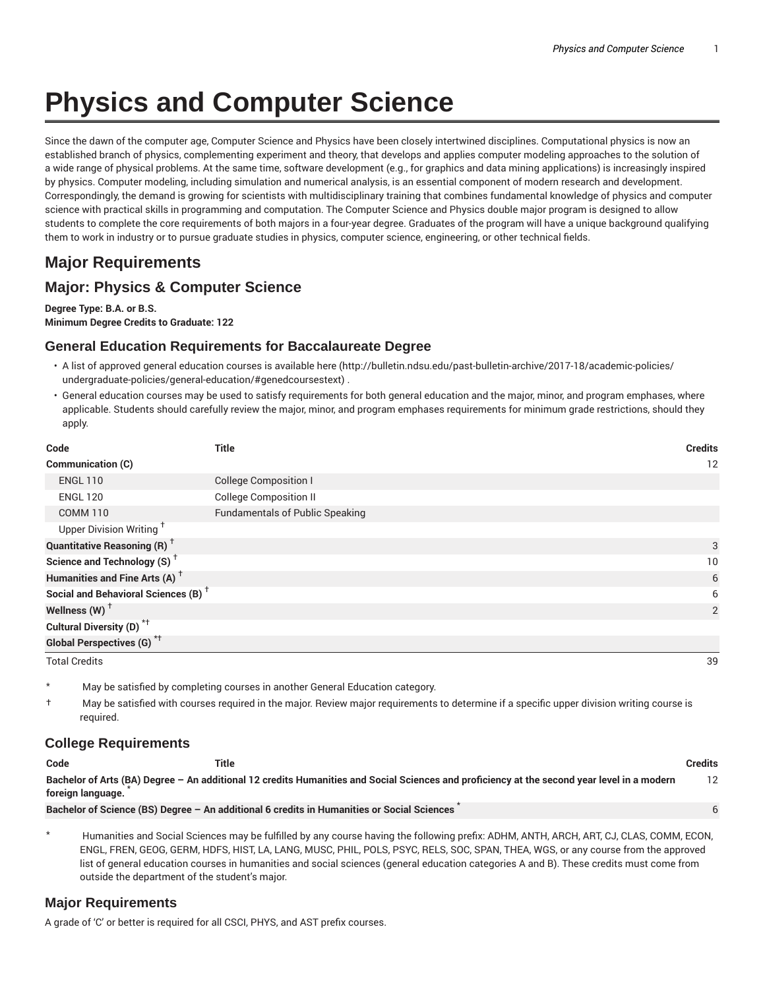# **Physics and Computer Science**

Since the dawn of the computer age, Computer Science and Physics have been closely intertwined disciplines. Computational physics is now an established branch of physics, complementing experiment and theory, that develops and applies computer modeling approaches to the solution of a wide range of physical problems. At the same time, software development (e.g., for graphics and data mining applications) is increasingly inspired by physics. Computer modeling, including simulation and numerical analysis, is an essential component of modern research and development. Correspondingly, the demand is growing for scientists with multidisciplinary training that combines fundamental knowledge of physics and computer science with practical skills in programming and computation. The Computer Science and Physics double major program is designed to allow students to complete the core requirements of both majors in a four-year degree. Graduates of the program will have a unique background qualifying them to work in industry or to pursue graduate studies in physics, computer science, engineering, or other technical fields.

# **Major Requirements**

## **Major: Physics & Computer Science**

**Degree Type: B.A. or B.S. Minimum Degree Credits to Graduate: 122**

### **General Education Requirements for Baccalaureate Degree**

- A list of approved general education courses is available here (http://bulletin.ndsu.edu/past-bulletin-archive/2017-18/academic-policies/ undergraduate-policies/general-education/#genedcoursestext) .
- General education courses may be used to satisfy requirements for both general education and the major, minor, and program emphases, where applicable. Students should carefully review the major, minor, and program emphases requirements for minimum grade restrictions, should they apply.

| Code                                            | <b>Title</b>                           | <b>Credits</b> |
|-------------------------------------------------|----------------------------------------|----------------|
| Communication (C)                               |                                        | 12             |
| <b>ENGL 110</b>                                 | <b>College Composition I</b>           |                |
| <b>ENGL 120</b>                                 | <b>College Composition II</b>          |                |
| <b>COMM 110</b>                                 | <b>Fundamentals of Public Speaking</b> |                |
| Upper Division Writing <sup>†</sup>             |                                        |                |
| <b>Quantitative Reasoning (R)</b> <sup>+</sup>  |                                        | 3              |
| Science and Technology (S) <sup>+</sup>         |                                        | 10             |
| Humanities and Fine Arts (A) <sup>+</sup>       |                                        | 6              |
| Social and Behavioral Sciences (B) <sup>+</sup> |                                        | 6              |
| Wellness $(W)$ <sup>+</sup>                     |                                        | 2              |
| Cultural Diversity (D) <sup>*†</sup>            |                                        |                |
| <b>Global Perspectives (G)</b> * <sup>†</sup>   |                                        |                |
| <b>Total Credits</b>                            |                                        | 39             |

May be satisfied by completing courses in another General Education category.

† May be satisfied with courses required in the major. Review major requirements to determine if a specific upper division writing course is required.

#### **College Requirements**

| Code              | Title                                                                                                                                       | <b>Credits</b> |
|-------------------|---------------------------------------------------------------------------------------------------------------------------------------------|----------------|
| foreign language. | Bachelor of Arts (BA) Degree - An additional 12 credits Humanities and Social Sciences and proficiency at the second year level in a modern | 12             |
|                   | Bachelor of Science (BS) Degree - An additional 6 credits in Humanities or Social Sciences                                                  |                |

Humanities and Social Sciences may be fulfilled by any course having the following prefix: ADHM, ANTH, ARCH, ART, CJ, CLAS, COMM, ECON, ENGL, FREN, GEOG, GERM, HDFS, HIST, LA, LANG, MUSC, PHIL, POLS, PSYC, RELS, SOC, SPAN, THEA, WGS, or any course from the approved list of general education courses in humanities and social sciences (general education categories A and B). These credits must come from outside the department of the student's major.

#### **Major Requirements**

A grade of 'C' or better is required for all CSCI, PHYS, and AST prefix courses.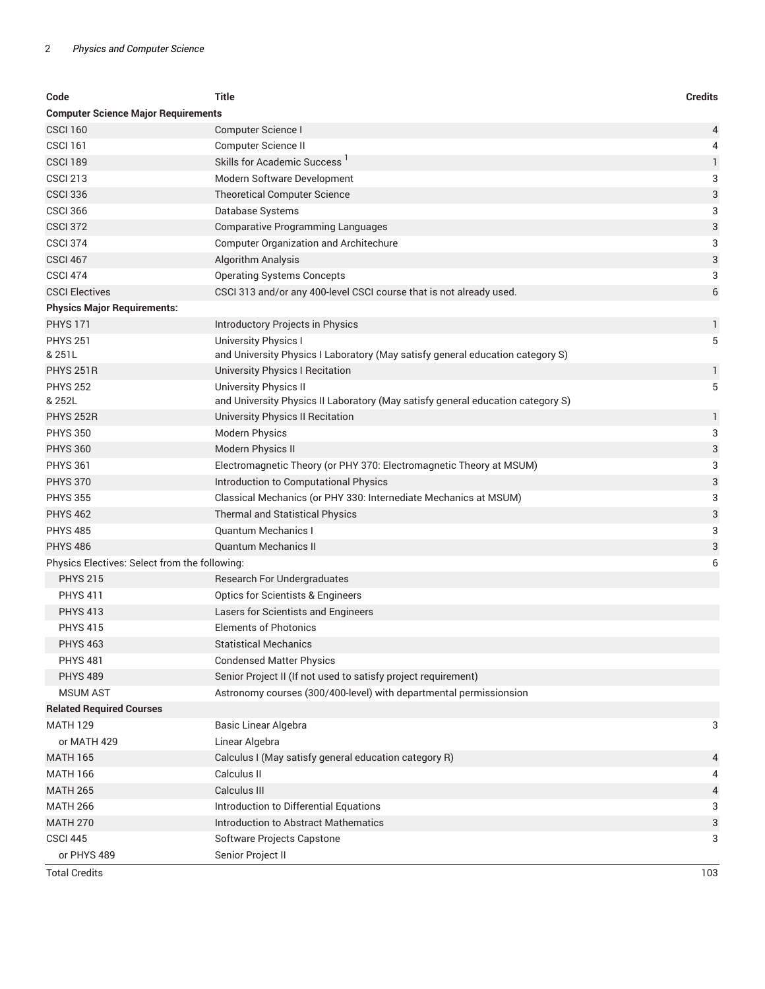| Code                                          | <b>Title</b>                                                                    | <b>Credits</b> |  |  |
|-----------------------------------------------|---------------------------------------------------------------------------------|----------------|--|--|
| <b>Computer Science Major Requirements</b>    |                                                                                 |                |  |  |
| <b>CSCI 160</b>                               | Computer Science I                                                              | 4              |  |  |
| <b>CSCI 161</b>                               | Computer Science II                                                             | 4              |  |  |
| <b>CSCI 189</b>                               | Skills for Academic Success '                                                   | $\mathbf{1}$   |  |  |
| <b>CSCI 213</b>                               | Modern Software Development                                                     | 3              |  |  |
| <b>CSCI 336</b>                               | <b>Theoretical Computer Science</b>                                             | 3              |  |  |
| <b>CSCI 366</b>                               | Database Systems                                                                | 3              |  |  |
| <b>CSCI 372</b>                               | <b>Comparative Programming Languages</b>                                        | 3              |  |  |
| <b>CSCI 374</b>                               | <b>Computer Organization and Architechure</b>                                   | 3              |  |  |
| <b>CSCI 467</b>                               | Algorithm Analysis                                                              | $\sqrt{3}$     |  |  |
| <b>CSCI 474</b>                               | <b>Operating Systems Concepts</b>                                               | 3              |  |  |
| <b>CSCI Electives</b>                         | CSCI 313 and/or any 400-level CSCI course that is not already used.             | 6              |  |  |
| <b>Physics Major Requirements:</b>            |                                                                                 |                |  |  |
| <b>PHYS 171</b>                               | Introductory Projects in Physics                                                | 1              |  |  |
| <b>PHYS 251</b>                               | University Physics I                                                            | 5              |  |  |
| & 251L                                        | and University Physics I Laboratory (May satisfy general education category S)  |                |  |  |
| <b>PHYS 251R</b>                              | University Physics I Recitation                                                 | 1              |  |  |
| <b>PHYS 252</b>                               | University Physics II                                                           | 5              |  |  |
| & 252L                                        | and University Physics II Laboratory (May satisfy general education category S) |                |  |  |
| <b>PHYS 252R</b>                              | University Physics II Recitation                                                | 1              |  |  |
| <b>PHYS 350</b>                               | <b>Modern Physics</b>                                                           | 3              |  |  |
| <b>PHYS 360</b>                               | Modern Physics II                                                               | 3              |  |  |
| <b>PHYS 361</b>                               | Electromagnetic Theory (or PHY 370: Electromagnetic Theory at MSUM)             | 3              |  |  |
| <b>PHYS 370</b>                               | Introduction to Computational Physics                                           | 3              |  |  |
| <b>PHYS 355</b>                               | Classical Mechanics (or PHY 330: Internediate Mechanics at MSUM)                | 3              |  |  |
| <b>PHYS 462</b>                               | <b>Thermal and Statistical Physics</b>                                          | 3              |  |  |
| <b>PHYS 485</b>                               | Quantum Mechanics I                                                             | 3              |  |  |
| <b>PHYS 486</b>                               | <b>Quantum Mechanics II</b>                                                     | 3              |  |  |
| Physics Electives: Select from the following: |                                                                                 | 6              |  |  |
| <b>PHYS 215</b>                               | Research For Undergraduates                                                     |                |  |  |
| <b>PHYS 411</b>                               | <b>Optics for Scientists &amp; Engineers</b>                                    |                |  |  |
| <b>PHYS 413</b>                               | Lasers for Scientists and Engineers                                             |                |  |  |
| <b>PHYS 415</b>                               | <b>Elements of Photonics</b>                                                    |                |  |  |
| <b>PHYS 463</b>                               | <b>Statistical Mechanics</b>                                                    |                |  |  |
| <b>PHYS 481</b>                               | <b>Condensed Matter Physics</b>                                                 |                |  |  |
| <b>PHYS 489</b>                               | Senior Project II (If not used to satisfy project requirement)                  |                |  |  |
| <b>MSUM AST</b>                               | Astronomy courses (300/400-level) with departmental permissionsion              |                |  |  |
| <b>Related Required Courses</b>               |                                                                                 |                |  |  |
| <b>MATH 129</b>                               | Basic Linear Algebra                                                            | 3              |  |  |
| or MATH 429                                   | Linear Algebra                                                                  |                |  |  |
| <b>MATH 165</b>                               | Calculus I (May satisfy general education category R)                           | 4              |  |  |
| <b>MATH 166</b>                               | Calculus II                                                                     | 4              |  |  |
| <b>MATH 265</b>                               | Calculus III                                                                    | 4              |  |  |
| <b>MATH 266</b>                               | Introduction to Differential Equations                                          | 3              |  |  |
| <b>MATH 270</b>                               | <b>Introduction to Abstract Mathematics</b>                                     | 3              |  |  |
| <b>CSCI 445</b>                               | Software Projects Capstone                                                      | 3              |  |  |
| or PHYS 489                                   | Senior Project II                                                               |                |  |  |
| <b>Total Credits</b>                          |                                                                                 | 103            |  |  |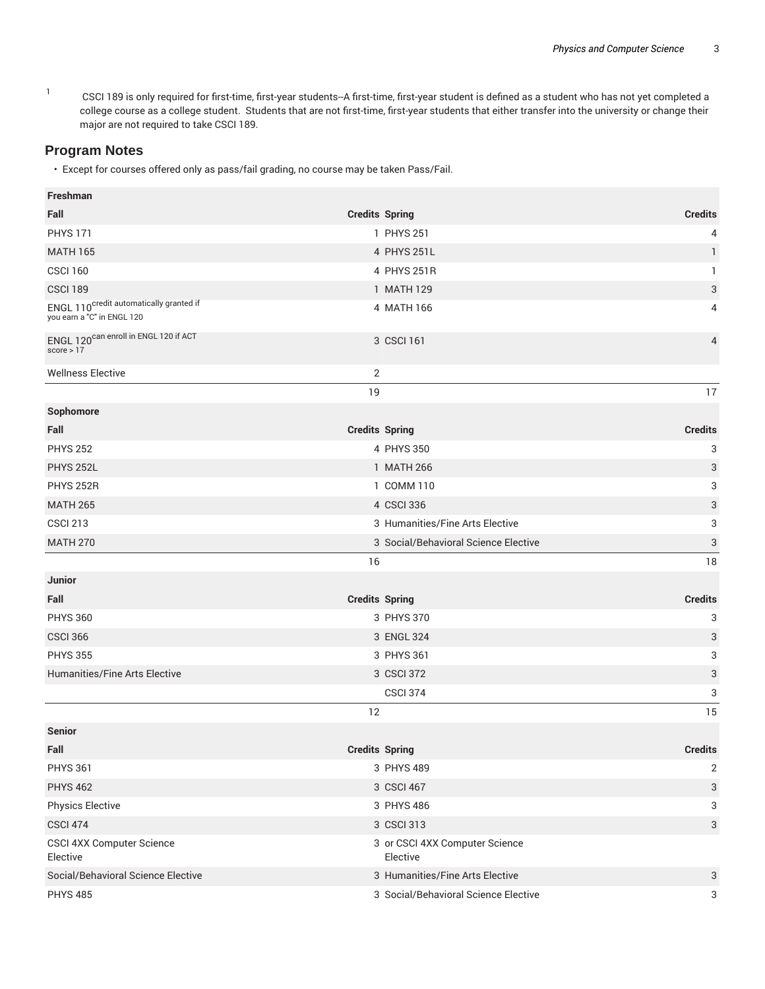1 CSCI 189 is only required for first-time, first-year students--A first-time, first-year student is defined as a student who has not yet completed a college course as a college student. Students that are not first-time, first-year students that either transfer into the university or change their major are not required to take CSCI 189.

#### **Program Notes**

• Except for courses offered only as pass/fail grading, no course may be taken Pass/Fail.

| Freshman                                                                          |                                            |                |
|-----------------------------------------------------------------------------------|--------------------------------------------|----------------|
| Fall                                                                              | <b>Credits Spring</b>                      | <b>Credits</b> |
| <b>PHYS 171</b>                                                                   | 1 PHYS 251                                 | 4              |
| <b>MATH 165</b>                                                                   | 4 PHYS 251L                                | 1              |
| <b>CSCI 160</b>                                                                   | 4 PHYS 251R                                | $\mathbf{1}$   |
| <b>CSCI 189</b>                                                                   | 1 MATH 129                                 | 3              |
| ENGL 110 <sup>credit</sup> automatically granted if<br>you earn a "C" in ENGL 120 | 4 MATH 166                                 | 4              |
| ENGL 120 <sup>can enroll in ENGL 120 if ACT</sup><br>score $> 17$                 | 3 CSCI 161                                 | 4              |
| <b>Wellness Elective</b>                                                          | $\overline{2}$                             |                |
|                                                                                   | 19                                         | 17             |
| Sophomore                                                                         |                                            |                |
| Fall                                                                              | <b>Credits Spring</b>                      | <b>Credits</b> |
| <b>PHYS 252</b>                                                                   | 4 PHYS 350                                 | 3              |
| <b>PHYS 252L</b>                                                                  | 1 MATH 266                                 | 3              |
| <b>PHYS 252R</b>                                                                  | 1 COMM 110                                 | 3              |
| <b>MATH 265</b>                                                                   | 4 CSCI 336                                 | 3              |
| <b>CSCI 213</b>                                                                   | 3 Humanities/Fine Arts Elective            | 3              |
| <b>MATH 270</b>                                                                   | 3 Social/Behavioral Science Elective       | 3              |
|                                                                                   |                                            |                |
|                                                                                   | 16                                         | 18             |
| Junior                                                                            |                                            |                |
| Fall                                                                              | <b>Credits Spring</b>                      | <b>Credits</b> |
| <b>PHYS 360</b>                                                                   | 3 PHYS 370                                 | 3              |
| <b>CSCI 366</b>                                                                   | 3 ENGL 324                                 | 3              |
| <b>PHYS 355</b>                                                                   | 3 PHYS 361                                 | 3              |
| Humanities/Fine Arts Elective                                                     | 3 CSCI 372                                 | 3              |
|                                                                                   | <b>CSCI 374</b>                            | 3              |
|                                                                                   | 12                                         | 15             |
| <b>Senior</b>                                                                     |                                            |                |
| Fall                                                                              | <b>Credits Spring</b>                      | <b>Credits</b> |
| <b>PHYS 361</b>                                                                   | 3 PHYS 489                                 | 2              |
| <b>PHYS 462</b>                                                                   | 3 CSCI 467                                 | 3              |
| <b>Physics Elective</b>                                                           | 3 PHYS 486                                 | 3              |
| <b>CSCI 474</b>                                                                   | 3 CSCI 313                                 | 3              |
| CSCI 4XX Computer Science<br>Elective                                             | 3 or CSCI 4XX Computer Science<br>Elective |                |
| Social/Behavioral Science Elective                                                | 3 Humanities/Fine Arts Elective            | $\sqrt{3}$     |